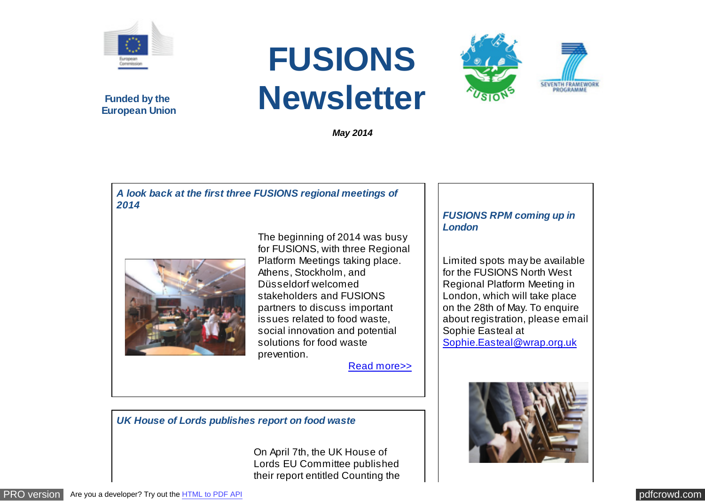

**Funded by the European Union**

# **FUSIONS Newsletter**

*May 2014*

#### *A look back at the first three FUSIONS regional meetings of 2014*



The beginning of 2014 was busy for FUSIONS, with three Regional Platform Meetings taking place. Athens, Stockholm, and Düsseldorf welcomed stakeholders and FUSIONS partners to discuss important issues related to food waste, social innovation and potential solutions for food waste prevention.

[Read more>>](http://www.eu-fusions.org/news/a-look-back-at-the-first-three-fusions-regional-meetings-of-2014)

## *FUSIONS RPM coming up in London*

**SEVENTH FRAMEWOR** 

Limited spots may be available for the FUSIONS North West Regional Platform Meeting in London, which will take place on the 28th of May. To enquire about registration, please email Sophie Easteal at [Sophie.Easteal@wrap.org.uk](mailto:Sophie.Easteal@wrap.org.uk)



*UK House of Lords publishes report on food waste*

On April 7th, the UK House of Lords EU Committee published their report entitled Counting the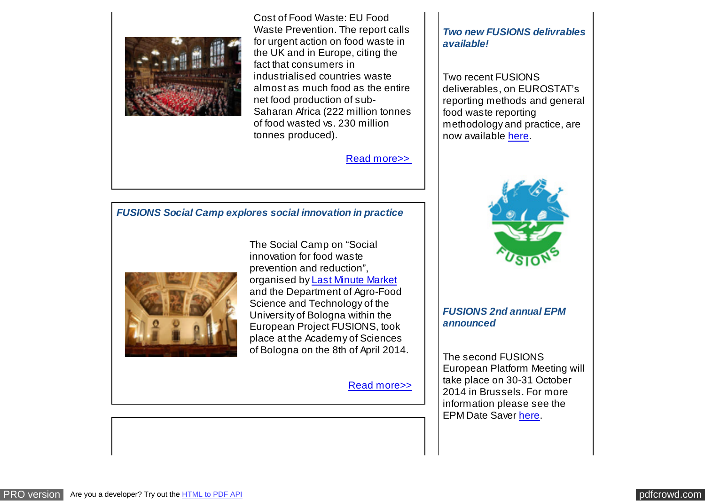

Cost of Food Waste: EU Food Waste Prevention. The report calls for urgent action on food waste in the UK and in Europe, citing the fact that consumers in industrialised countries waste almost as much food as the entire net food production of sub-Saharan Africa (222 million tonnes of food wasted vs. 230 million tonnes produced).

[Read more>>](http://www.eu-fusions.org/news/uk-house-of-lords-publishes-report-on-food-waste) 

#### *FUSIONS Social Camp explores social innovation in practice*



The Social Camp on "Social innovation for food waste prevention and reduction", organised by [Last Minute Market](http://www.lastminutemarket.it/) and the Department of Agro-Food Science and Technology of the University of Bologna within the European Project FUSIONS, took place at the Academy of Sciences of Bologna on the 8th of April 2014.

[Read more>>](http://www.eu-fusions.org/news/fusions-social-camp-explores-social-innovation-in-practice)

#### *Two new FUSIONS delivrables available!*

Two recent FUSIONS deliverables, on EUROSTAT's reporting methods and general food waste reporting methodology and practice, are now available [here.](http://www.eu-fusions.org/publications)



### *FUSIONS 2nd annual EPM announced*

The second FUSIONS European Platform Meeting will take place on 30-31 October 2014 in Brussels. For more information please see the EPM Date Saver [here.](http://www.eu-fusions.org/uploads/documents/7eed6af14c4ec024cb58f5103f136ffb97c74985.pdf)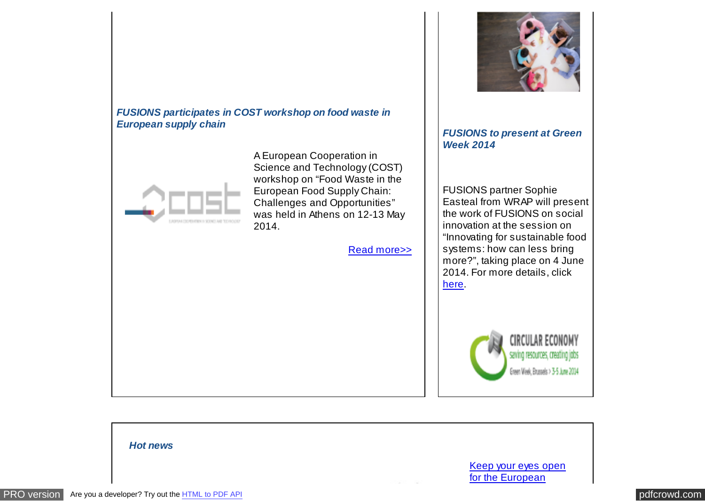



A European Cooperation in Science and Technology (COST) workshop on "Food Waste in the European Food Supply Chain: Challenges and Opportunities" was held in Athens on 12-13 May 2014.

[Read more>>](http://www.eu-fusions.org/news/fusions-participates-in-cost-workshop-on-food-waste-in-the-european-supply-chain)



#### *FUSIONS to present at Green Week 2014*

FUSIONS partner Sophie Easteal from WRAP will present the work of FUSIONS on social innovation at the session on "Innovating for sustainable food systems: how can less bring more?", taking place on 4 June 2014. For more details, click [here.](http://ec.europa.eu/environment/greenweek/)



*Hot news*  [Keep your eyes open](http://ec.europa.eu/environment/eussd/food.htm) for the European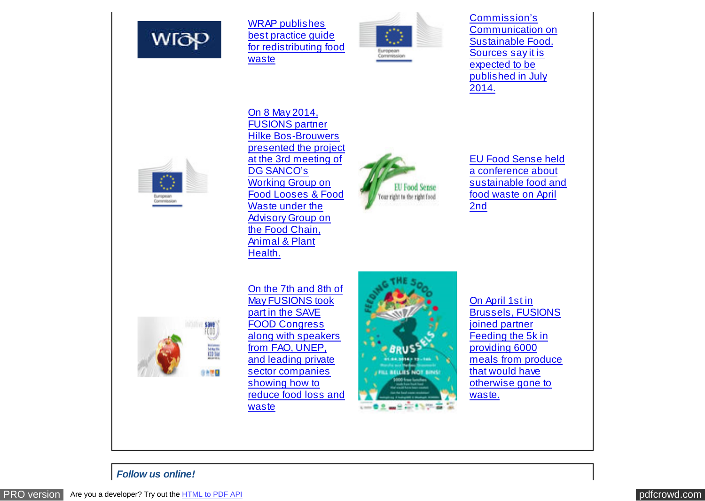

WRAP publishes best practice guide [for redistributing food](http://www.wrap.org.uk/sites/files/wrap/Our%20guiding%20principles%20for%20redistributing%20surplus%20food%20-%20v5%20%282%29.pdf) waste



Commission's [Communication on](http://ec.europa.eu/environment/eussd/food.htm) Sustainable Food. Sources say it is expected to be published in July 2014.



On 8 May 2014, FUSIONS partner Hilke Bos-Brouwers [presented the project](http://ec.europa.eu/dgs/health_consumer/dgs_consultations/working_groups_2014_en.htm) at the 3rd meeting of DG SANCO's Working Group on Food Looses & Food Waste under the Advisory Group on the Food Chain, Animal & Plant Health.



EU Food Sense held a conference about [sustainable food and](http://emcmillanscott.com/food-sense-conference/4583819622) food waste on April 2nd



On the 7th and 8th of May FUSIONS took part in the SAVE FOOD Congress along with speakers from FAO, UNEP, and leading private sector companies showing how to [reduce food loss and](http://www.save-food.org/cipp/md_interpack/custom/pub/content,oid,23696/lang,2/ticket,g_u_e_s_t/~/Congress_2014.html) waste



On April 1st in Brussels, FUSIONS joined partner Feeding the 5k in providing 6000 [meals from produce](http://www.feeding5k.org/) that would have otherwise gone to waste.

#### *Follow us online!*